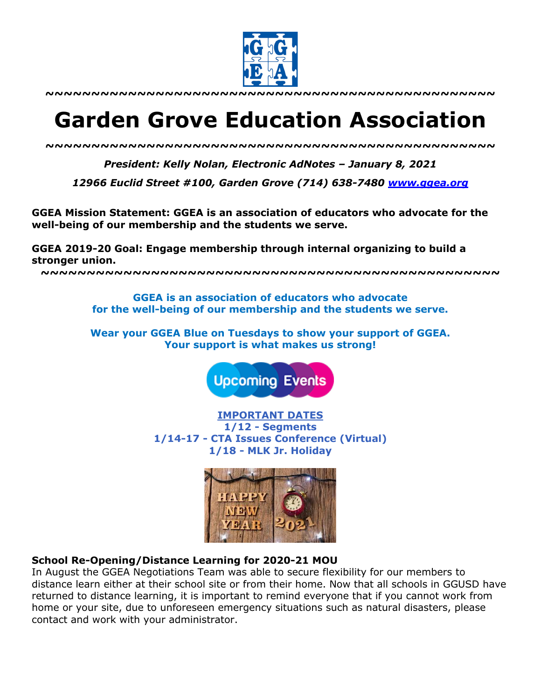

**~~~~~~~~~~~~~~~~~~~~~~~~~~~~~~~~~~~~~~~~~~~~~~~~~**

# **Garden Grove Education Association**

*~~~~~~~~~~~~~~~~~~~~~~~~~~~~~~~~~~~~~~~~~~~~~~~~~*

*President: Kelly Nolan, Electronic AdNotes – January 8, 2021*

*12966 Euclid Street #100, Garden Grove (714) 638-7480 www.ggea.org*

**GGEA Mission Statement: GGEA is an association of educators who advocate for the well-being of our membership and the students we serve.** 

**GGEA 2019-20 Goal: Engage membership through internal organizing to build a stronger union.**

**~~~~~~~~~~~~~~~~~~~~~~~~~~~~~~~~~~~~~~~~~~~~~~~~~~**

**GGEA is an association of educators who advocate for the well-being of our membership and the students we serve.**

**Wear your GGEA Blue on Tuesdays to show your support of GGEA. Your support is what makes us strong!**

**Upcoming Events** 

**IMPORTANT DATES 1/12 - Segments 1/14-17 - CTA Issues Conference (Virtual) 1/18 - MLK Jr. Holiday**



#### **School Re-Opening/Distance Learning for 2020-21 MOU**

In August the GGEA Negotiations Team was able to secure flexibility for our members to distance learn either at their school site or from their home. Now that all schools in GGUSD have returned to distance learning, it is important to remind everyone that if you cannot work from home or your site, due to unforeseen emergency situations such as natural disasters, please contact and work with your administrator.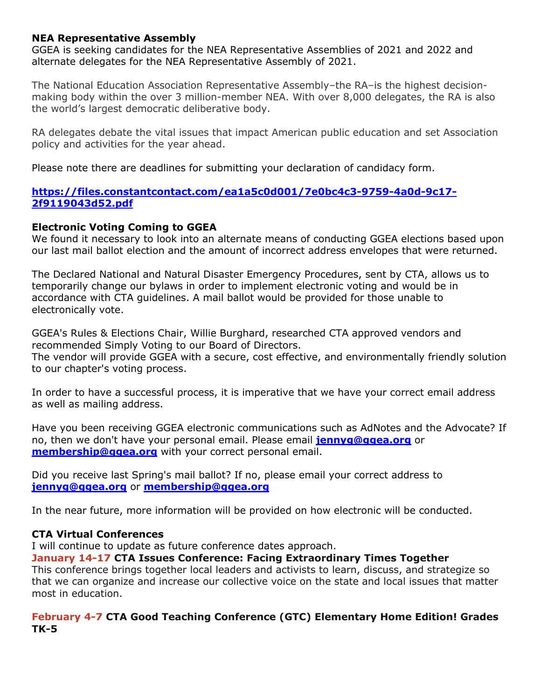## **NEA Representative Assembly**

GGEA is seeking candidates for the NEA Representative Assemblies of 2021 and 2022 and alternate delegates for the NEA Representative Assembly of 2021.

The National Education Association Representative Assembly–the RA–is the highest decisionmaking body within the over 3 million-member NEA. With over 8,000 delegates, the RA is also the world's largest democratic deliberative body.

RA delegates debate the vital issues that impact American public education and set Association policy and activities for the year ahead.

Please note there are deadlines for submitting your declaration of candidacy form.

# **https://files.constantcontact.com/ea1a5c0d001/7e0bc4c3-9759-4a0d-9c17- 2f9119043d52.pdf**

# **Electronic Voting Coming to GGEA**

We found it necessary to look into an alternate means of conducting GGEA elections based upon our last mail ballot election and the amount of incorrect address envelopes that were returned.

The Declared National and Natural Disaster Emergency Procedures, sent by CTA, allows us to temporarily change our bylaws in order to implement electronic voting and would be in accordance with CTA guidelines. A mail ballot would be provided for those unable to electronically vote.

GGEA's Rules & Elections Chair, Willie Burghard, researched CTA approved vendors and recommended Simply Voting to our Board of Directors.

The vendor will provide GGEA with a secure, cost effective, and environmentally friendly solution to our chapter's voting process.

In order to have a successful process, it is imperative that we have your correct email address as well as mailing address.

Have you been receiving GGEA electronic communications such as AdNotes and the Advocate? If no, then we don't have your personal email. Please email **jennyg@ggea.org** or **membership@ggea.org** with your correct personal email.

Did you receive last Spring's mail ballot? If no, please email your correct address to **jennyg@ggea.org** or **membership@ggea.org**

In the near future, more information will be provided on how electronic will be conducted.

# **CTA Virtual Conferences**

I will continue to update as future conference dates approach.

## **January 14-17 CTA Issues Conference: Facing Extraordinary Times Together**

This conference brings together local leaders and activists to learn, discuss, and strategize so that we can organize and increase our collective voice on the state and local issues that matter most in education.

# **February 4-7 CTA Good Teaching Conference (GTC) Elementary Home Edition! Grades TK-5**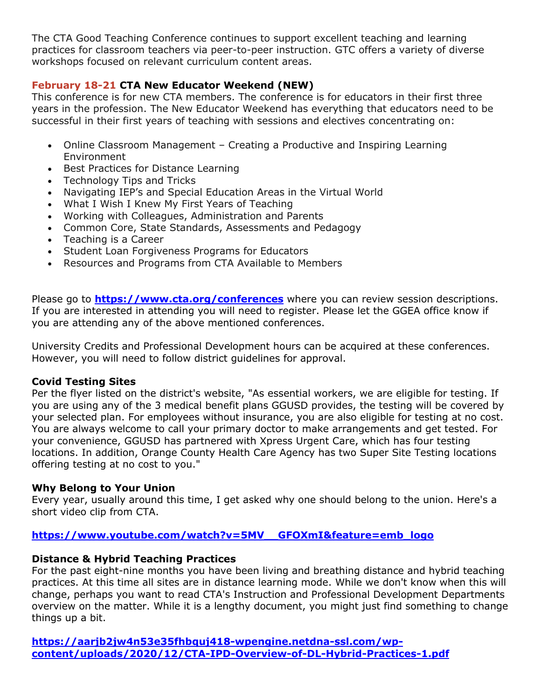The CTA Good Teaching Conference continues to support excellent teaching and learning practices for classroom teachers via peer-to-peer instruction. GTC offers a variety of diverse workshops focused on relevant curriculum content areas.

# **February 18-21 CTA New Educator Weekend (NEW)**

This conference is for new CTA members. The conference is for educators in their first three years in the profession. The New Educator Weekend has everything that educators need to be successful in their first years of teaching with sessions and electives concentrating on:

- Online Classroom Management Creating a Productive and Inspiring Learning Environment
- Best Practices for Distance Learning
- Technology Tips and Tricks
- Navigating IEP's and Special Education Areas in the Virtual World
- What I Wish I Knew My First Years of Teaching
- Working with Colleagues, Administration and Parents
- Common Core, State Standards, Assessments and Pedagogy
- Teaching is a Career
- Student Loan Forgiveness Programs for Educators
- Resources and Programs from CTA Available to Members

Please go to **https://www.cta.org/conferences** where you can review session descriptions. If you are interested in attending you will need to register. Please let the GGEA office know if you are attending any of the above mentioned conferences.

University Credits and Professional Development hours can be acquired at these conferences. However, you will need to follow district guidelines for approval.

## **Covid Testing Sites**

Per the flyer listed on the district's website, "As essential workers, we are eligible for testing. If you are using any of the 3 medical benefit plans GGUSD provides, the testing will be covered by your selected plan. For employees without insurance, you are also eligible for testing at no cost. You are always welcome to call your primary doctor to make arrangements and get tested. For your convenience, GGUSD has partnered with Xpress Urgent Care, which has four testing locations. In addition, Orange County Health Care Agency has two Super Site Testing locations offering testing at no cost to you."

## **Why Belong to Your Union**

Every year, usually around this time, I get asked why one should belong to the union. Here's a short video clip from CTA.

# **https://www.youtube.com/watch?v=5MV\_\_GFOXmI&feature=emb\_logo**

## **Distance & Hybrid Teaching Practices**

For the past eight-nine months you have been living and breathing distance and hybrid teaching practices. At this time all sites are in distance learning mode. While we don't know when this will change, perhaps you want to read CTA's Instruction and Professional Development Departments overview on the matter. While it is a lengthy document, you might just find something to change things up a bit.

**https://aarjb2jw4n53e35fhbquj418-wpengine.netdna-ssl.com/wpcontent/uploads/2020/12/CTA-IPD-Overview-of-DL-Hybrid-Practices-1.pdf**